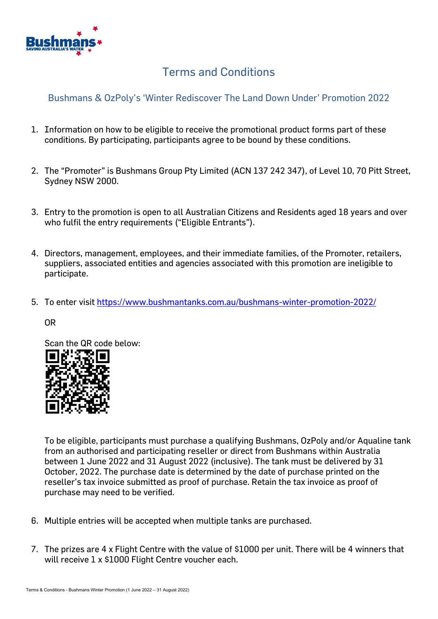

## Terms and Conditions

## Bushmans & OzPoly's 'Winter Rediscover The Land Down Under' Promotion 2022

- 1. Information on how to be eligible to receive the promotional product forms part of these conditions. By participating, participants agree to be bound by these conditions.
- 2. The "Promoter" is Bushmans Group Pty Limited (ACN 137 242 347), of Level 10, 70 Pitt Street, Sydney NSW 2000.
- 3. Entry to the promotion is open to all Australian Citizens and Residents aged 18 years and over who fulfil the entry requirements ("Eligible Entrants").
- 4. Directors, management, employees, and their immediate families, of the Promoter, retailers, suppliers, associated entities and agencies associated with this promotion are ineligible to participate.
- 5. To enter visit<https://www.bushmantanks.com.au/bushmans-winter-promotion-2022/>

OR

Scan the QR code below:



To be eligible, participants must purchase a qualifying Bushmans, OzPoly and/or Aqualine tank from an authorised and participating reseller or direct from Bushmans within Australia between 1 June 2022 and 31 August 2022 (inclusive). The tank must be delivered by 31 October, 2022. The purchase date is determined by the date of purchase printed on the reseller's tax invoice submitted as proof of purchase. Retain the tax invoice as proof of purchase may need to be verified.

- 6. Multiple entries will be accepted when multiple tanks are purchased.
- 7. The prizes are 4 x Flight Centre with the value of \$1000 per unit. There will be 4 winners that will receive 1 x \$1000 Flight Centre voucher each.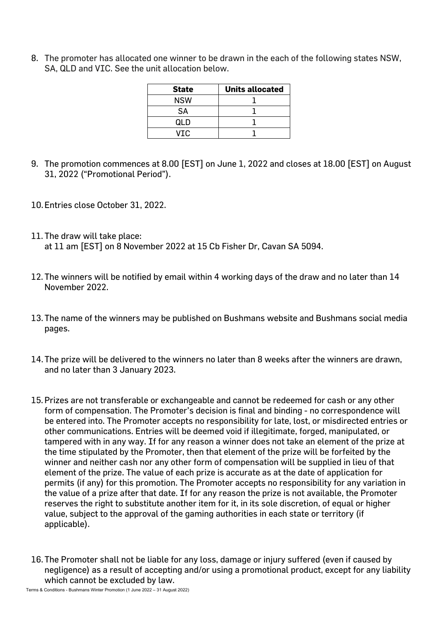8. The promoter has allocated one winner to be drawn in the each of the following states NSW, SA, QLD and VIC. See the unit allocation below.

| <b>State</b> | <b>Units allocated</b> |
|--------------|------------------------|
| <b>NSW</b>   |                        |
| SА           |                        |
| QLD          |                        |
| VIC.         |                        |

- 9. The promotion commences at 8.00 [EST] on June 1, 2022 and closes at 18.00 [EST] on August 31, 2022 ("Promotional Period").
- 10.Entries close October 31, 2022.
- 11. The draw will take place: at 11 am [EST] on 8 November 2022 at 15 Cb Fisher Dr, Cavan SA 5094.
- 12. The winners will be notified by email within 4 working days of the draw and no later than 14 November 2022.
- 13.The name of the winners may be published on Bushmans website and Bushmans social media pages.
- 14.The prize will be delivered to the winners no later than 8 weeks after the winners are drawn, and no later than 3 January 2023.
- 15.Prizes are not transferable or exchangeable and cannot be redeemed for cash or any other form of compensation. The Promoter's decision is final and binding - no correspondence will be entered into. The Promoter accepts no responsibility for late, lost, or misdirected entries or other communications. Entries will be deemed void if illegitimate, forged, manipulated, or tampered with in any way. If for any reason a winner does not take an element of the prize at the time stipulated by the Promoter, then that element of the prize will be forfeited by the winner and neither cash nor any other form of compensation will be supplied in lieu of that element of the prize. The value of each prize is accurate as at the date of application for permits (if any) for this promotion. The Promoter accepts no responsibility for any variation in the value of a prize after that date. If for any reason the prize is not available, the Promoter reserves the right to substitute another item for it, in its sole discretion, of equal or higher value, subject to the approval of the gaming authorities in each state or territory (if applicable).
- 16.The Promoter shall not be liable for any loss, damage or injury suffered (even if caused by negligence) as a result of accepting and/or using a promotional product, except for any liability which cannot be excluded by law.